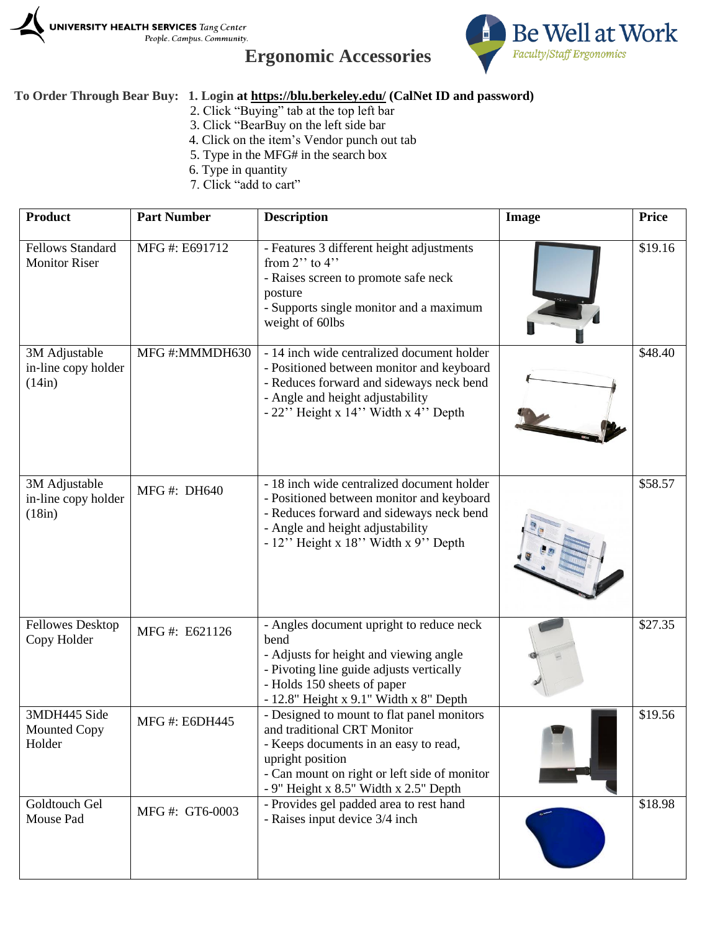





## **To Order Through Bear Buy: 1. Login at<https://blu.berkeley.edu/> (CalNet ID and password)**

- 2. Click "Buying" tab at the top left bar
- 3. Click "BearBuy on the left side bar
- 4. Click on the item's Vendor punch out tab
- 5. Type in the MFG# in the search box
- 6. Type in quantity
- 7. Click "add to cart"

| <b>Product</b>                                  | <b>Part Number</b>   | <b>Description</b>                                                                                                                                                                                                              | Image | <b>Price</b> |
|-------------------------------------------------|----------------------|---------------------------------------------------------------------------------------------------------------------------------------------------------------------------------------------------------------------------------|-------|--------------|
| <b>Fellows Standard</b><br><b>Monitor Riser</b> | MFG #: E691712       | - Features 3 different height adjustments<br>from $2$ " to $4$ "<br>- Raises screen to promote safe neck<br>posture<br>- Supports single monitor and a maximum<br>weight of 60lbs                                               |       | \$19.16      |
| 3M Adjustable<br>in-line copy holder<br>(14in)  | MFG#:MMMDH630        | - 14 inch wide centralized document holder<br>- Positioned between monitor and keyboard<br>- Reduces forward and sideways neck bend<br>- Angle and height adjustability<br>- 22" Height x 14" Width x 4" Depth                  |       | \$48.40      |
| 3M Adjustable<br>in-line copy holder<br>(18in)  | MFG #: DH640         | - 18 inch wide centralized document holder<br>- Positioned between monitor and keyboard<br>- Reduces forward and sideways neck bend<br>- Angle and height adjustability<br>$-12$ " Height x 18" Width x 9" Depth                |       | \$58.57      |
| <b>Fellowes Desktop</b><br>Copy Holder          | MFG#: E621126        | - Angles document upright to reduce neck<br>bend<br>- Adjusts for height and viewing angle<br>- Pivoting line guide adjusts vertically<br>- Holds 150 sheets of paper<br>$-12.8$ " Height x 9.1" Width x 8" Depth               |       | \$27.35      |
| 3MDH445 Side<br><b>Mounted Copy</b><br>Holder   | <b>MFG#: E6DH445</b> | - Designed to mount to flat panel monitors<br>and traditional CRT Monitor<br>- Keeps documents in an easy to read,<br>upright position<br>- Can mount on right or left side of monitor<br>- 9" Height x 8.5" Width x 2.5" Depth |       | \$19.56      |
| Goldtouch Gel<br>Mouse Pad                      | MFG #: GT6-0003      | - Provides gel padded area to rest hand<br>- Raises input device 3/4 inch                                                                                                                                                       |       | \$18.98      |